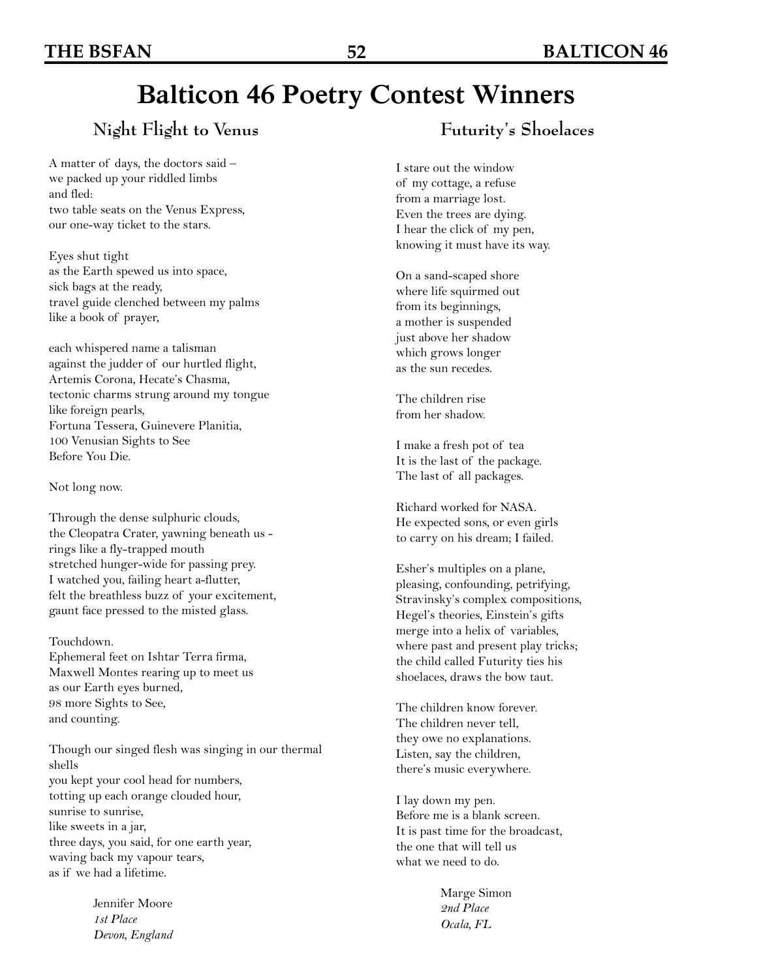# **Balticon 46 Poetry Contest Winners**

# **Night Flight to Venus**

A matter of days, the doctors said – we packed up your riddled limbs and fled: two table seats on the Venus Express, our one-way ticket to the stars.

Eyes shut tight as the Earth spewed us into space, sick bags at the ready, travel guide clenched between my palms like a book of prayer,

each whispered name a talisman against the judder of our hurtled flight, Artemis Corona, Hecate's Chasma, tectonic charms strung around my tongue like foreign pearls, Fortuna Tessera, Guinevere Planitia, 100 Venusian Sights to See Before You Die.

Not long now.

Through the dense sulphuric clouds, the Cleopatra Crater, yawning beneath us rings like a fly-trapped mouth stretched hunger-wide for passing prey. I watched you, failing heart a-flutter, felt the breathless buzz of your excitement, gaunt face pressed to the misted glass.

#### Touchdown.

Ephemeral feet on Ishtar Terra firma, Maxwell Montes rearing up to meet us as our Earth eyes burned, 98 more Sights to See, and counting.

Though our singed flesh was singing in our thermal shells you kept your cool head for numbers, totting up each orange clouded hour, sunrise to sunrise, like sweets in a jar, three days, you said, for one earth year, waving back my vapour tears, as if we had a lifetime.

> Jennifer Moore *1st Place Devon, England*

## **Futurity's Shoelaces**

I stare out the window of my cottage, a refuse from a marriage lost. Even the trees are dying. I hear the click of my pen, knowing it must have its way.

On a sand-scaped shore where life squirmed out from its beginnings, a mother is suspended just above her shadow which grows longer as the sun recedes.

The children rise from her shadow.

I make a fresh pot of tea It is the last of the package. The last of all packages.

Richard worked for NASA. He expected sons, or even girls to carry on his dream; I failed.

Esher's multiples on a plane, pleasing, confounding, petrifying, Stravinsky's complex compositions, Hegel's theories, Einstein's gifts merge into a helix of variables, where past and present play tricks; the child called Futurity ties his shoelaces, draws the bow taut.

The children know forever. The children never tell, they owe no explanations. Listen, say the children, there's music everywhere.

I lay down my pen. Before me is a blank screen. It is past time for the broadcast, the one that will tell us what we need to do.

> Marge Simon *2nd Place Ocala, FL*